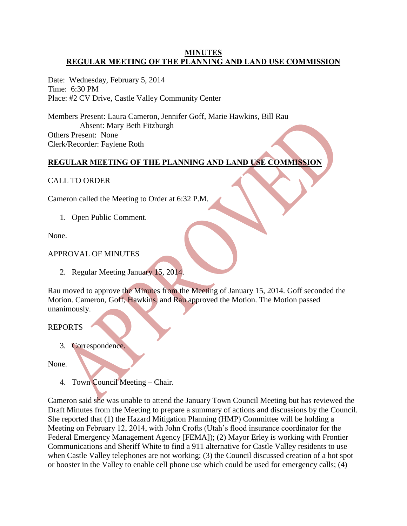### **MINUTES REGULAR MEETING OF THE PLANNING AND LAND USE COMMISSION**

Date: Wednesday, February 5, 2014 Time: 6:30 PM Place: #2 CV Drive, Castle Valley Community Center

Members Present: Laura Cameron, Jennifer Goff, Marie Hawkins, Bill Rau Absent: Mary Beth Fitzburgh Others Present: None Clerk/Recorder: Faylene Roth

## **REGULAR MEETING OF THE PLANNING AND LAND USE COMMISSION**

## CALL TO ORDER

Cameron called the Meeting to Order at 6:32 P.M.

1. Open Public Comment.

None.

## APPROVAL OF MINUTES

2. Regular Meeting January 15, 2014.

Rau moved to approve the Minutes from the Meeting of January 15, 2014. Goff seconded the Motion. Cameron, Goff, Hawkins, and Rau approved the Motion. The Motion passed unanimously.

#### REPORTS

3. Correspondence.

None.

4. Town Council Meeting – Chair.

Cameron said she was unable to attend the January Town Council Meeting but has reviewed the Draft Minutes from the Meeting to prepare a summary of actions and discussions by the Council. She reported that (1) the Hazard Mitigation Planning (HMP) Committee will be holding a Meeting on February 12, 2014, with John Crofts (Utah's flood insurance coordinator for the Federal Emergency Management Agency [FEMA]); (2) Mayor Erley is working with Frontier Communications and Sheriff White to find a 911 alternative for Castle Valley residents to use when Castle Valley telephones are not working; (3) the Council discussed creation of a hot spot or booster in the Valley to enable cell phone use which could be used for emergency calls; (4)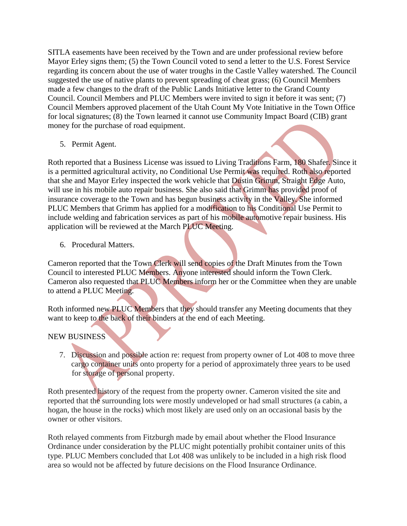SITLA easements have been received by the Town and are under professional review before Mayor Erley signs them; (5) the Town Council voted to send a letter to the U.S. Forest Service regarding its concern about the use of water troughs in the Castle Valley watershed. The Council suggested the use of native plants to prevent spreading of cheat grass; (6) Council Members made a few changes to the draft of the Public Lands Initiative letter to the Grand County Council. Council Members and PLUC Members were invited to sign it before it was sent; (7) Council Members approved placement of the Utah Count My Vote Initiative in the Town Office for local signatures; (8) the Town learned it cannot use Community Impact Board (CIB) grant money for the purchase of road equipment.

5. Permit Agent.

Roth reported that a Business License was issued to Living Traditions Farm, 180 Shafer. Since it is a permitted agricultural activity, no Conditional Use Permit was required. Roth also reported that she and Mayor Erley inspected the work vehicle that Dustin Grimm, Straight Edge Auto, will use in his mobile auto repair business. She also said that Grimm has provided proof of insurance coverage to the Town and has begun business activity in the Valley. She informed PLUC Members that Grimm has applied for a modification to his Conditional Use Permit to include welding and fabrication services as part of his mobile automotive repair business. His application will be reviewed at the March PLUC Meeting.

6. Procedural Matters.

Cameron reported that the Town Clerk will send copies of the Draft Minutes from the Town Council to interested PLUC Members. Anyone interested should inform the Town Clerk. Cameron also requested that PLUC Members inform her or the Committee when they are unable to attend a PLUC Meeting.

Roth informed new PLUC Members that they should transfer any Meeting documents that they want to keep to the back of their binders at the end of each Meeting.

# NEW BUSINESS

7. Discussion and possible action re: request from property owner of Lot 408 to move three cargo container units onto property for a period of approximately three years to be used for storage of personal property.

Roth presented history of the request from the property owner. Cameron visited the site and reported that the surrounding lots were mostly undeveloped or had small structures (a cabin, a hogan, the house in the rocks) which most likely are used only on an occasional basis by the owner or other visitors.

Roth relayed comments from Fitzburgh made by email about whether the Flood Insurance Ordinance under consideration by the PLUC might potentially prohibit container units of this type. PLUC Members concluded that Lot 408 was unlikely to be included in a high risk flood area so would not be affected by future decisions on the Flood Insurance Ordinance.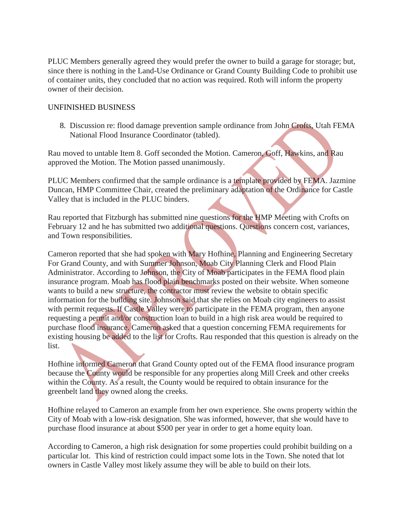PLUC Members generally agreed they would prefer the owner to build a garage for storage; but, since there is nothing in the Land-Use Ordinance or Grand County Building Code to prohibit use of container units, they concluded that no action was required. Roth will inform the property owner of their decision.

## UNFINISHED BUSINESS

 8. Discussion re: flood damage prevention sample ordinance from John Crofts, Utah FEMA National Flood Insurance Coordinator (tabled).

Rau moved to untable Item 8. Goff seconded the Motion. Cameron, Goff, Hawkins, and Rau approved the Motion. The Motion passed unanimously.

PLUC Members confirmed that the sample ordinance is a template provided by FEMA. Jazmine Duncan, HMP Committee Chair, created the preliminary adaptation of the Ordinance for Castle Valley that is included in the PLUC binders.

Rau reported that Fitzburgh has submitted nine questions for the HMP Meeting with Crofts on February 12 and he has submitted two additional questions. Questions concern cost, variances, and Town responsibilities.

Cameron reported that she had spoken with Mary Hofhine, Planning and Engineering Secretary For Grand County, and with Summer Johnson, Moab City Planning Clerk and Flood Plain Administrator. According to Johnson, the City of Moab participates in the FEMA flood plain insurance program. Moab has flood plain benchmarks posted on their website. When someone wants to build a new structure, the contractor must review the website to obtain specific information for the building site. Johnson said that she relies on Moab city engineers to assist with permit requests. If Castle Valley were to participate in the FEMA program, then anyone requesting a permit and/or construction loan to build in a high risk area would be required to purchase flood insurance. Cameron asked that a question concerning FEMA requirements for existing housing be added to the list for Crofts. Rau responded that this question is already on the list.

Hofhine informed Cameron that Grand County opted out of the FEMA flood insurance program because the County would be responsible for any properties along Mill Creek and other creeks within the County. As a result, the County would be required to obtain insurance for the greenbelt land they owned along the creeks.

Hofhine relayed to Cameron an example from her own experience. She owns property within the City of Moab with a low-risk designation. She was informed, however, that she would have to purchase flood insurance at about \$500 per year in order to get a home equity loan.

According to Cameron, a high risk designation for some properties could prohibit building on a particular lot. This kind of restriction could impact some lots in the Town. She noted that lot owners in Castle Valley most likely assume they will be able to build on their lots.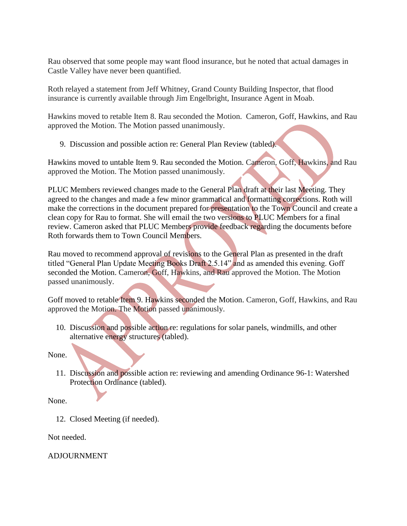Rau observed that some people may want flood insurance, but he noted that actual damages in Castle Valley have never been quantified.

Roth relayed a statement from Jeff Whitney, Grand County Building Inspector, that flood insurance is currently available through Jim Engelbright, Insurance Agent in Moab.

Hawkins moved to retable Item 8. Rau seconded the Motion. Cameron, Goff, Hawkins, and Rau approved the Motion. The Motion passed unanimously.

9. Discussion and possible action re: General Plan Review (tabled).

Hawkins moved to untable Item 9. Rau seconded the Motion. Cameron, Goff, Hawkins, and Rau approved the Motion. The Motion passed unanimously.

PLUC Members reviewed changes made to the General Plan draft at their last Meeting. They agreed to the changes and made a few minor grammatical and formatting corrections. Roth will make the corrections in the document prepared for presentation to the Town Council and create a clean copy for Rau to format. She will email the two versions to PLUC Members for a final review. Cameron asked that PLUC Members provide feedback regarding the documents before Roth forwards them to Town Council Members.

Rau moved to recommend approval of revisions to the General Plan as presented in the draft titled "General Plan Update Meeting Books Draft 2.5.14" and as amended this evening. Goff seconded the Motion. Cameron, Goff, Hawkins, and Rau approved the Motion. The Motion passed unanimously.

Goff moved to retable Item 9. Hawkins seconded the Motion. Cameron, Goff, Hawkins, and Rau approved the Motion. The Motion passed unanimously.

 10. Discussion and possible action re: regulations for solar panels, windmills, and other alternative energy structures (tabled).

None.

 11. Discussion and possible action re: reviewing and amending Ordinance 96-1: Watershed Protection Ordinance (tabled).

None.

12. Closed Meeting (if needed).

Not needed.

## ADJOURNMENT